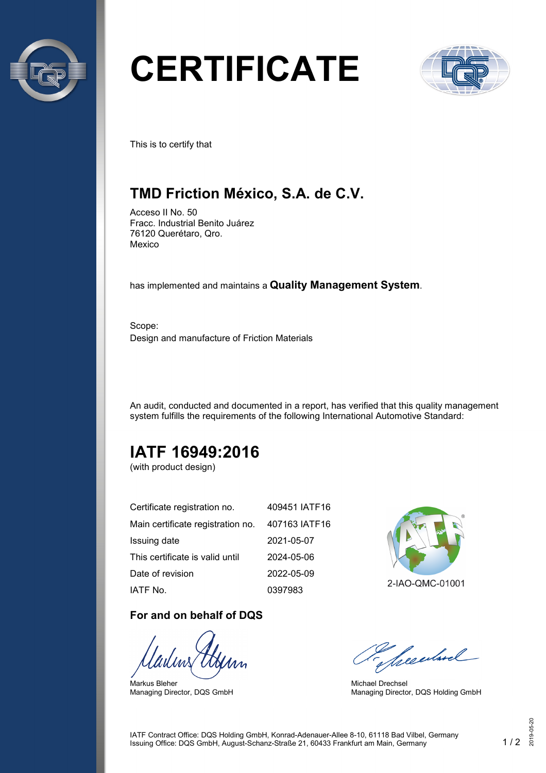

# **CERTIFICATE**



This is to certify that

## **TMD Friction México, S.A. de C.V.**

Acceso II No. 50 Fracc. Industrial Benito Juárez 76120 Querétaro, Qro. Mexico

has implemented and maintains a **Quality Management System**.

Scope: Design and manufacture of Friction Materials

An audit, conducted and documented in a report, has verified that this quality management system fulfills the requirements of the following International Automotive Standard:

# **IATF 16949:2016**

(with product design)

| Certificate registration no.      | 409451 IATF16 |
|-----------------------------------|---------------|
| Main certificate registration no. | 407163 IATF16 |
| Issuing date                      | 2021-05-07    |
| This certificate is valid until   | 2024-05-06    |
| Date of revision                  | 2022-05-09    |
| IATF No.                          | 0397983       |

#### **For and on behalf of DQS**

Markus Bleher Managing Director, DQS GmbH



2-IAO-QMC-01001

Seculard

Michael Drechsel Managing Director, DQS Holding GmbH

IATF Contract Office: DQS Holding GmbH, Konrad-Adenauer-Allee 8-10, 61118 Bad Vilbel, Germany Issuing Office: DQS GmbH, August-Schanz-Straße 21, 60433 Frankfurt am Main, Germany 1 / 2